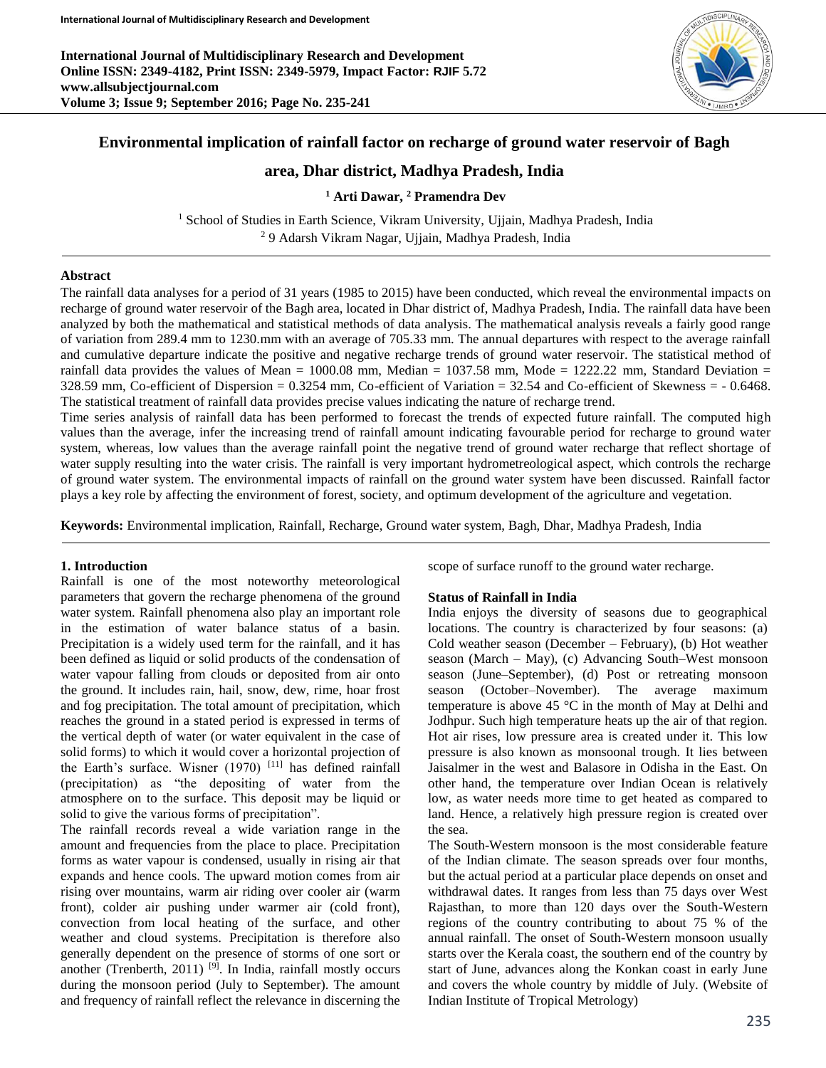**International Journal of Multidisciplinary Research and Development Online ISSN: 2349-4182, Print ISSN: 2349-5979, Impact Factor: RJIF 5.72 www.allsubjectjournal.com Volume 3; Issue 9; September 2016; Page No. 235-241**



# **Environmental implication of rainfall factor on recharge of ground water reservoir of Bagh**

# **area, Dhar district, Madhya Pradesh, India**

## **<sup>1</sup> Arti Dawar, <sup>2</sup> Pramendra Dev**

<sup>1</sup> School of Studies in Earth Science, Vikram University, Ujjain, Madhya Pradesh, India <sup>2</sup> 9 Adarsh Vikram Nagar, Ujjain, Madhya Pradesh, India

## **Abstract**

The rainfall data analyses for a period of 31 years (1985 to 2015) have been conducted, which reveal the environmental impacts on recharge of ground water reservoir of the Bagh area, located in Dhar district of, Madhya Pradesh, India. The rainfall data have been analyzed by both the mathematical and statistical methods of data analysis. The mathematical analysis reveals a fairly good range of variation from 289.4 mm to 1230.mm with an average of 705.33 mm. The annual departures with respect to the average rainfall and cumulative departure indicate the positive and negative recharge trends of ground water reservoir. The statistical method of rainfall data provides the values of Mean = 1000.08 mm, Median = 1037.58 mm, Mode = 1222.22 mm, Standard Deviation = 328.59 mm, Co-efficient of Dispersion = 0.3254 mm, Co-efficient of Variation = 32.54 and Co-efficient of Skewness = - 0.6468. The statistical treatment of rainfall data provides precise values indicating the nature of recharge trend.

Time series analysis of rainfall data has been performed to forecast the trends of expected future rainfall. The computed high values than the average, infer the increasing trend of rainfall amount indicating favourable period for recharge to ground water system, whereas, low values than the average rainfall point the negative trend of ground water recharge that reflect shortage of water supply resulting into the water crisis. The rainfall is very important hydrometreological aspect, which controls the recharge of ground water system. The environmental impacts of rainfall on the ground water system have been discussed. Rainfall factor plays a key role by affecting the environment of forest, society, and optimum development of the agriculture and vegetation.

**Keywords:** Environmental implication, Rainfall, Recharge, Ground water system, Bagh, Dhar, Madhya Pradesh, India

### **1. Introduction**

Rainfall is one of the most noteworthy meteorological parameters that govern the recharge phenomena of the ground water system. Rainfall phenomena also play an important role in the estimation of water balance status of a basin. Precipitation is a widely used term for the rainfall, and it has been defined as liquid or solid products of the condensation of water vapour falling from clouds or deposited from air onto the ground. It includes rain, hail, snow, dew, rime, hoar frost and fog precipitation. The total amount of precipitation, which reaches the ground in a stated period is expressed in terms of the vertical depth of water (or water equivalent in the case of solid forms) to which it would cover a horizontal projection of the Earth's surface. Wisner (1970) [11] has defined rainfall (precipitation) as "the depositing of water from the atmosphere on to the surface. This deposit may be liquid or solid to give the various forms of precipitation".

The rainfall records reveal a wide variation range in the amount and frequencies from the place to place. Precipitation forms as water vapour is condensed, usually in rising air that expands and hence cools. The upward motion comes from air rising over mountains, warm air riding over cooler air (warm front), colder air pushing under warmer air (cold front), convection from local heating of the surface, and other weather and cloud systems. Precipitation is therefore also generally dependent on the presence of storms of one sort or another (Trenberth, 2011)<sup>[9]</sup>. In India, rainfall mostly occurs during the monsoon period (July to September). The amount and frequency of rainfall reflect the relevance in discerning the

scope of surface runoff to the ground water recharge.

#### **Status of Rainfall in India**

India enjoys the diversity of seasons due to geographical locations. The country is characterized by four seasons: (a) Cold weather season (December – February), (b) Hot weather season (March – May), (c) Advancing South–West monsoon season (June–September), (d) Post or retreating monsoon season (October–November). The average maximum temperature is above 45 °C in the month of May at Delhi and Jodhpur. Such high temperature heats up the air of that region. Hot air rises, low pressure area is created under it. This low pressure is also known as monsoonal trough. It lies between Jaisalmer in the west and Balasore in Odisha in the East. On other hand, the temperature over Indian Ocean is relatively low, as water needs more time to get heated as compared to land. Hence, a relatively high pressure region is created over the sea.

The South-Western monsoon is the most considerable feature of the Indian climate. The season spreads over four months, but the actual period at a particular place depends on onset and withdrawal dates. It ranges from less than 75 days over West Rajasthan, to more than 120 days over the South-Western regions of the country contributing to about 75 % of the annual rainfall. The onset of South-Western monsoon usually starts over the Kerala coast, the southern end of the country by start of June, advances along the Konkan coast in early June and covers the whole country by middle of July. (Website of Indian Institute of Tropical Metrology)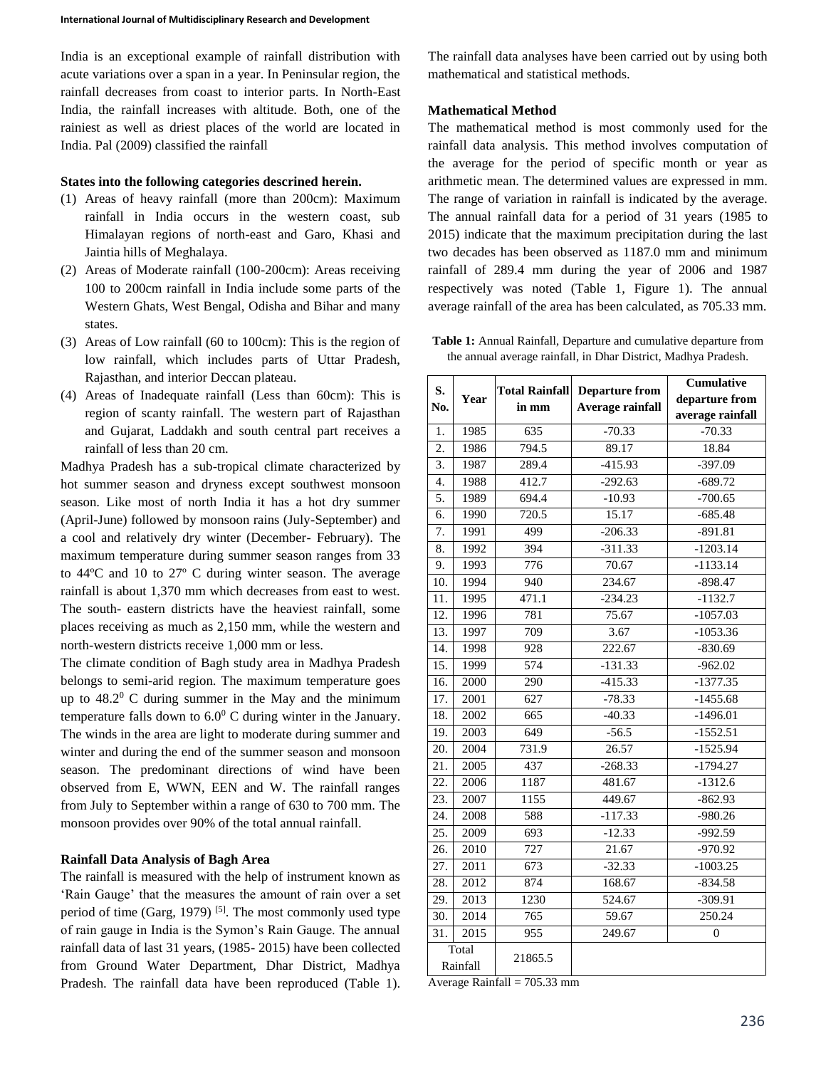India is an exceptional example of rainfall distribution with acute variations over a span in a year. In Peninsular region, the rainfall decreases from coast to interior parts. In North-East India, the rainfall increases with altitude. Both, one of the rainiest as well as driest places of the world are located in India. Pal (2009) classified the rainfall

#### **States into the following categories descrined herein.**

- (1) Areas of heavy rainfall (more than 200cm): Maximum rainfall in India occurs in the western coast, sub Himalayan regions of north-east and Garo, Khasi and Jaintia hills of Meghalaya.
- (2) Areas of Moderate rainfall (100-200cm): Areas receiving 100 to 200cm rainfall in India include some parts of the Western Ghats, West Bengal, Odisha and Bihar and many states.
- (3) Areas of Low rainfall (60 to 100cm): This is the region of low rainfall, which includes parts of Uttar Pradesh, Rajasthan, and interior Deccan plateau.
- (4) Areas of Inadequate rainfall (Less than 60cm): This is region of scanty rainfall. The western part of Rajasthan and Gujarat, Laddakh and south central part receives a rainfall of less than 20 cm.

Madhya Pradesh has a sub-tropical climate characterized by hot summer season and dryness except southwest monsoon season. Like most of north India it has a hot dry summer (April-June) followed by monsoon rains (July-September) and a cool and relatively dry winter (December- February). The maximum temperature during summer season ranges from 33 to 44ºC and 10 to 27º C during winter season. The average rainfall is about 1,370 mm which decreases from east to west. The south- eastern districts have the heaviest rainfall, some places receiving as much as 2,150 mm, while the western and north-western districts receive 1,000 mm or less.

The climate condition of Bagh study area in Madhya Pradesh belongs to semi-arid region. The maximum temperature goes up to  $48.2^{\circ}$  C during summer in the May and the minimum temperature falls down to  $6.0^{\circ}$  C during winter in the January. The winds in the area are light to moderate during summer and winter and during the end of the summer season and monsoon season. The predominant directions of wind have been observed from E, WWN, EEN and W. The rainfall ranges from July to September within a range of 630 to 700 mm. The monsoon provides over 90% of the total annual rainfall.

### **Rainfall Data Analysis of Bagh Area**

The rainfall is measured with the help of instrument known as 'Rain Gauge' that the measures the amount of rain over a set period of time (Garg, 1979)<sup>[5]</sup>. The most commonly used type of rain gauge in India is the Symon's Rain Gauge. The annual rainfall data of last 31 years, (1985- 2015) have been collected from Ground Water Department, Dhar District, Madhya Pradesh. The rainfall data have been reproduced (Table 1).

The rainfall data analyses have been carried out by using both mathematical and statistical methods.

## **Mathematical Method**

The mathematical method is most commonly used for the rainfall data analysis. This method involves computation of the average for the period of specific month or year as arithmetic mean. The determined values are expressed in mm. The range of variation in rainfall is indicated by the average. The annual rainfall data for a period of 31 years (1985 to 2015) indicate that the maximum precipitation during the last two decades has been observed as 1187.0 mm and minimum rainfall of 289.4 mm during the year of 2006 and 1987 respectively was noted (Table 1, Figure 1). The annual average rainfall of the area has been calculated, as 705.33 mm.

**Table 1:** Annual Rainfall, Departure and cumulative departure from the annual average rainfall, in Dhar District, Madhya Pradesh.

| S.<br>No.         | Year              | <b>Total Rainfall</b><br>in mm | <b>Departure from</b><br>Average rainfall | Cumulative       |  |  |
|-------------------|-------------------|--------------------------------|-------------------------------------------|------------------|--|--|
|                   |                   |                                |                                           | departure from   |  |  |
|                   |                   |                                |                                           | average rainfall |  |  |
| 1.                | 1985              | 635                            | $-70.33$                                  | $-70.33$         |  |  |
| 2.                | 1986              | 794.5                          | 89.17                                     | 18.84            |  |  |
| 3.                | 1987              | 289.4                          | $-415.93$                                 | $-397.09$        |  |  |
| 4.                | 1988              | 412.7                          | $-292.63$                                 | $-689.72$        |  |  |
| 5.                | 1989              | 694.4                          | $-10.93$                                  | $-700.65$        |  |  |
| 6.                | 1990              | 720.5                          | 15.17                                     | $-685.48$        |  |  |
| 7.                | 1991              | 499                            | $-206.33$                                 | $-891.81$        |  |  |
| 8.                | 1992              | 394                            | $-311.33$                                 | $-1203.14$       |  |  |
| 9.                | 1993              | $\overline{776}$               | 70.67                                     | $-1133.14$       |  |  |
| 10.               | 1994              | 940                            | 234.67                                    | $-898.47$        |  |  |
| 11.               | 1995              | 471.1                          | $-234.23$                                 | $-1132.7$        |  |  |
| 12.               | 1996              | 781                            | 75.67                                     | $-1057.03$       |  |  |
| $\overline{13}$ . | 1997              | 709                            | 3.67                                      | $-1053.36$       |  |  |
| $\overline{14}$ . | 1998              | 928                            | 222.67                                    | $-830.69$        |  |  |
| 15.               | 1999              | 574                            | $-131.33$                                 | $-962.02$        |  |  |
| $\overline{16}$   | 2000              | 290                            | $-415.33$                                 | $-1377.35$       |  |  |
| $\overline{17}$ . | 2001              | 627                            | $-78.33$                                  | $-1455.68$       |  |  |
| 18.               | 2002              | 665                            | $-40.33$                                  | $-1496.01$       |  |  |
| 19.               | 2003              | 649                            | $-56.5$                                   | $-1552.51$       |  |  |
| 20.               | 2004              | 731.9                          | 26.57                                     | $-1525.94$       |  |  |
| 21.               | 2005              | 437                            | $-268.33$                                 | $-1794.27$       |  |  |
| 22.               | 2006              | 1187                           | 481.67                                    | $-1312.6$        |  |  |
| 23.               | 2007              | 1155                           | 449.67                                    | $-862.93$        |  |  |
| 24.               | 2008              | 588                            | $-117.33$                                 | $-980.26$        |  |  |
| 25.               | 2009              | 693                            | $-12.33$                                  | $-992.59$        |  |  |
| 26.               | $\frac{2010}{ }$  | $\overline{727}$               | $21.\overline{67}$                        | $-970.92$        |  |  |
| 27.               | $\overline{2011}$ | 673                            | $-32.33$                                  | $-1003.25$       |  |  |
| 28.               | $\overline{2012}$ | 874                            | 168.67                                    | $-834.58$        |  |  |
| 29.               | $\overline{2013}$ | 1230                           | 524.67                                    | $-309.91$        |  |  |
| 30.               | 2014              | 765                            | 59.67                                     | 250.24           |  |  |
| $\overline{31}$ . | 2015              | 955                            | 249.67                                    | $\overline{0}$   |  |  |
|                   | Total             | 21865.5                        |                                           |                  |  |  |
| Rainfall          |                   |                                |                                           |                  |  |  |

Average Rainfall  $= 705.33$  mm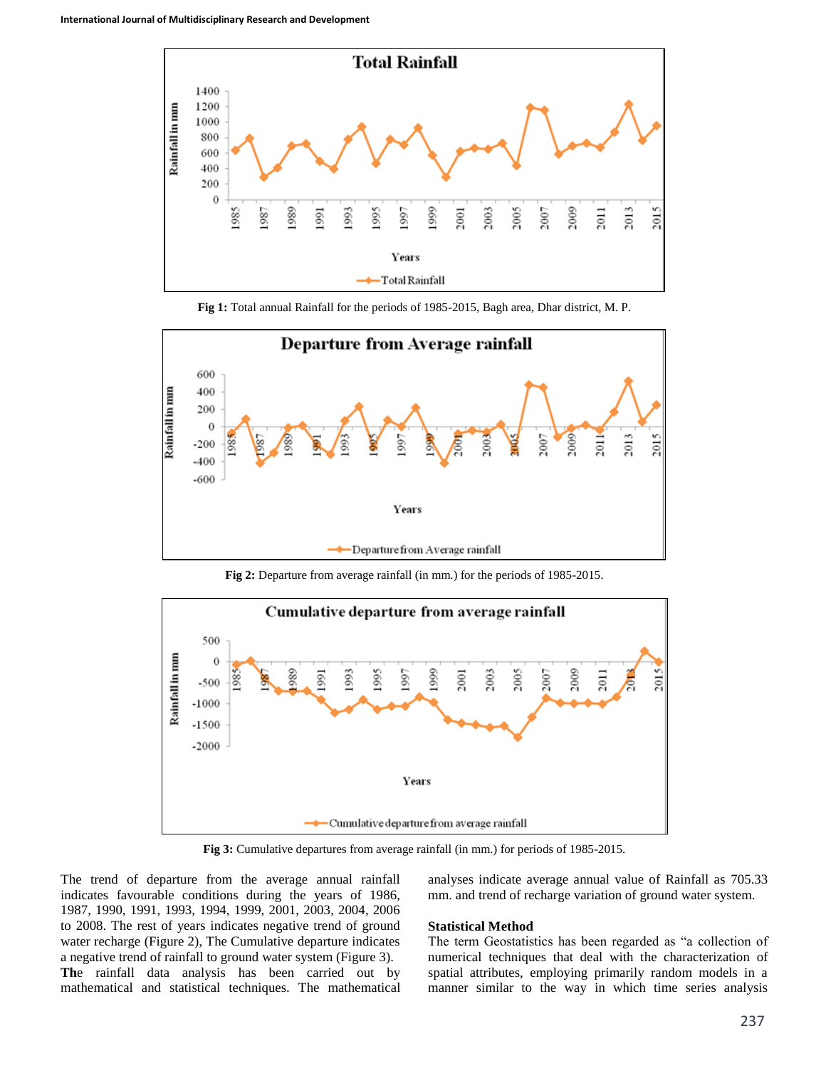

**Fig 1:** Total annual Rainfall for the periods of 1985-2015, Bagh area, Dhar district, M. P.



**Fig 2:** Departure from average rainfall (in mm.) for the periods of 1985-2015.



**Fig 3:** Cumulative departures from average rainfall (in mm.) for periods of 1985-2015.

The trend of departure from the average annual rainfall indicates favourable conditions during the years of 1986, 1987, 1990, 1991, 1993, 1994, 1999, 2001, 2003, 2004, 2006 to 2008. The rest of years indicates negative trend of ground water recharge (Figure 2), The Cumulative departure indicates a negative trend of rainfall to ground water system (Figure 3). **Th**e rainfall data analysis has been carried out by mathematical and statistical techniques. The mathematical analyses indicate average annual value of Rainfall as 705.33 mm. and trend of recharge variation of ground water system.

#### **Statistical Method**

The term Geostatistics has been regarded as "a collection of numerical techniques that deal with the characterization of spatial attributes, employing primarily random models in a manner similar to the way in which time series analysis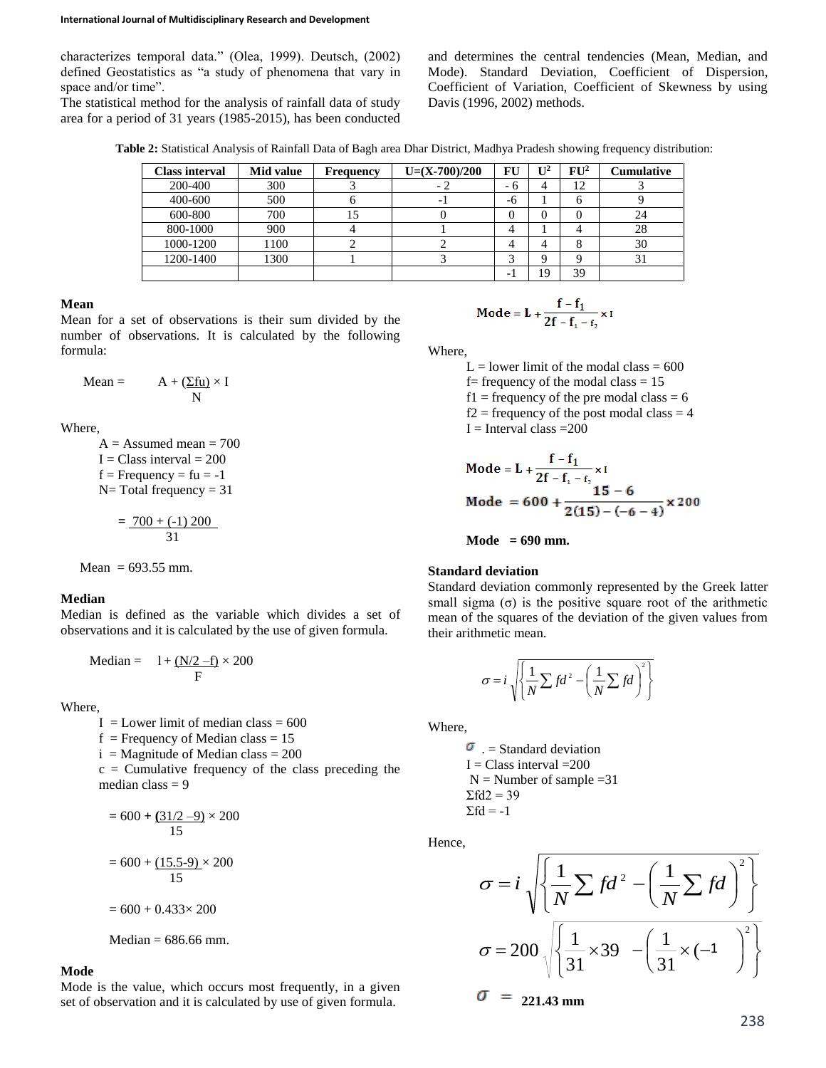characterizes temporal data." (Olea, 1999). Deutsch, (2002) defined Geostatistics as "a study of phenomena that vary in space and/or time".

The statistical method for the analysis of rainfall data of study area for a period of 31 years (1985-2015), has been conducted

and determines the central tendencies (Mean, Median, and Mode). Standard Deviation, Coefficient of Dispersion, Coefficient of Variation, Coefficient of Skewness by using Davis (1996, 2002) methods.

**Table 2:** Statistical Analysis of Rainfall Data of Bagh area Dhar District, Madhya Pradesh showing frequency distribution:

| <b>Class interval</b> | Mid value | <b>Frequency</b> | $U=(X-700)/200$ | FU  | $\mathbf{I}$ <sup>2</sup> | $\rm{FU^2}$ | Cumulative |
|-----------------------|-----------|------------------|-----------------|-----|---------------------------|-------------|------------|
| 200-400               | 300       |                  |                 | - ი | 4                         | 12          |            |
| 400-600               | 500       |                  |                 | -6  |                           | n           |            |
| 600-800               | 700       |                  |                 |     | 0                         |             | 24         |
| 800-1000              | 900       |                  |                 |     |                           |             | 28         |
| 1000-1200             | 1100      |                  |                 |     | 4                         |             | 30         |
| 1200-1400             | 1300      |                  |                 |     | Q                         |             | 31         |
|                       |           |                  |                 |     | 19                        | 39          |            |

### **Mean**

Mean for a set of observations is their sum divided by the number of observations. It is calculated by the following formula:

Mean = 
$$
A + (\underline{\Sigma fu}) \times I
$$
  
N

Where,

 $A =$  Assumed mean = 700  $I = Class interval = 200$  $f = Frequency = fu = -1$  $N=$  Total frequency = 31

$$
=\frac{700+(-1)200}{31}
$$

Mean =  $693.55$  mm.

#### **Median**

Median is defined as the variable which divides a set of observations and it is calculated by the use of given formula.

Median = 
$$
1 + \frac{N/2 - f}{F} \times 200
$$

Where,

 $I =$ Lower limit of median class = 600  $f =$  Frequency of Median class = 15  $i =$ Magnitude of Median class = 200  $c =$  Cumulative frequency of the class preceding the median class  $= 9$ 

$$
= 600 + \frac{(31/2 - 9)}{15} \times 200
$$

$$
= 600 + \frac{(15.5 - 9)}{15} \times 200
$$

$$
= 600 + 0.433 \times 200
$$

Median = 
$$
686.66
$$
 mm.

### **Mode**

Mode is the value, which occurs most frequently, in a given set of observation and it is calculated by use of given formula.

$$
Mode = L + \frac{f - f_1}{2f - f_1 - f_2} \times I
$$

Where,

 $L =$  lower limit of the modal class = 600 f = frequency of the modal class  $= 15$  $f1 = \text{frequency of the pre modal class} = 6$  $f2$  = frequency of the post modal class = 4  $I =$ Interval class = 200

Mode = L + 
$$
\frac{f - f_1}{2f - f_1 - f_2} \times I
$$
  
Mode = 600 +  $\frac{15 - 6}{2(15) - (-6 - 4)} \times 200$ 

$$
Mode = 690 mm.
$$

### **Standard deviation**

Standard deviation commonly represented by the Greek latter small sigma  $(\sigma)$  is the positive square root of the arithmetic mean of the squares of the deviation of the given values from their arithmetic mean.

$$
\sigma = i \sqrt{\left\{ \frac{1}{N} \sum f d^2 - \left( \frac{1}{N} \sum f d \right)^2 \right\}}
$$

Where,

 $\sigma$ . = Standard deviation  $I = Class interval = 200$  $N =$  Number of sample = 31  $\Sigma f d2 = 39$  $\Sigma f d = -1$ 

Hence,

$$
\sigma = i \sqrt{\left\{ \frac{1}{N} \sum f d^2 - \left( \frac{1}{N} \sum f d \right)^2 \right\}}
$$
  

$$
\sigma = 200 \sqrt{\left\{ \frac{1}{31} \times 39 - \left( \frac{1}{31} \times (-1) \right)^2 \right\}}
$$
  

$$
\sigma = 221.43 \text{ mm}
$$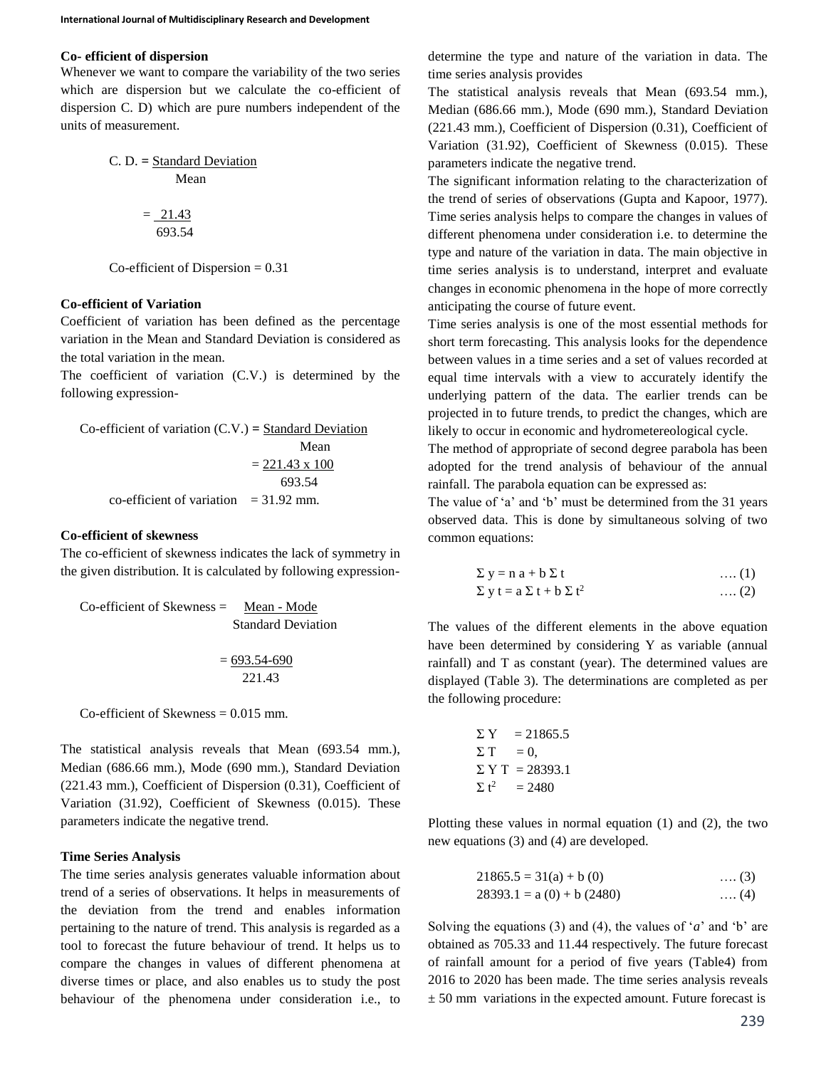#### **Co- efficient of dispersion**

Whenever we want to compare the variability of the two series which are dispersion but we calculate the co-efficient of dispersion C. D) which are pure numbers independent of the units of measurement.

C. D. = Standard Deviation  
Mean  
= 
$$
\frac{21.43}{693.54}
$$

 $Co$ -efficient of Dispersion =  $0.31$ 

## **Co-efficient of Variation**

Coefficient of variation has been defined as the percentage variation in the Mean and Standard Deviation is considered as the total variation in the mean.

The coefficient of variation (C.V.) is determined by the following expression-

Co-efficient of variation (C.V.) = Standard Deviation  
Mean  
= 
$$
\underbrace{221.43 \times 100}_{693.54}
$$
co-efficient of variation = 31.92 mm.

# **Co-efficient of skewness**

The co-efficient of skewness indicates the lack of symmetry in the given distribution. It is calculated by following expression-

Co-efficient of Skewness = 
$$
\frac{\text{Mean - Mode}}{\text{Standard Deviation}}
$$

$$
= \frac{693.54-690}{}
$$

221.43

Co-efficient of Skewness  $= 0.015$  mm.

The statistical analysis reveals that Mean (693.54 mm.), Median (686.66 mm.), Mode (690 mm.), Standard Deviation (221.43 mm.), Coefficient of Dispersion (0.31), Coefficient of Variation (31.92), Coefficient of Skewness (0.015). These parameters indicate the negative trend.

#### **Time Series Analysis**

The time series analysis generates valuable information about trend of a series of observations. It helps in measurements of the deviation from the trend and enables information pertaining to the nature of trend. This analysis is regarded as a tool to forecast the future behaviour of trend. It helps us to compare the changes in values of different phenomena at diverse times or place, and also enables us to study the post behaviour of the phenomena under consideration i.e., to

determine the type and nature of the variation in data. The time series analysis provides

The statistical analysis reveals that Mean (693.54 mm.), Median (686.66 mm.), Mode (690 mm.), Standard Deviation (221.43 mm.), Coefficient of Dispersion (0.31), Coefficient of Variation (31.92), Coefficient of Skewness (0.015). These parameters indicate the negative trend.

The significant information relating to the characterization of the trend of series of observations (Gupta and Kapoor, 1977). Time series analysis helps to compare the changes in values of different phenomena under consideration i.e. to determine the type and nature of the variation in data. The main objective in time series analysis is to understand, interpret and evaluate changes in economic phenomena in the hope of more correctly anticipating the course of future event.

Time series analysis is one of the most essential methods for short term forecasting. This analysis looks for the dependence between values in a time series and a set of values recorded at equal time intervals with a view to accurately identify the underlying pattern of the data. The earlier trends can be projected in to future trends, to predict the changes, which are likely to occur in economic and hydrometereological cycle.

The method of appropriate of second degree parabola has been adopted for the trend analysis of behaviour of the annual rainfall. The parabola equation can be expressed as:

The value of 'a' and 'b' must be determined from the 31 years observed data. This is done by simultaneous solving of two common equations:

$$
\Sigma y = n a + b \Sigma t \qquad \qquad \dots (1)
$$
  

$$
\Sigma y t = a \Sigma t + b \Sigma t^2 \qquad \qquad \dots (2)
$$

The values of the different elements in the above equation have been determined by considering Y as variable (annual rainfall) and T as constant (year). The determined values are displayed (Table 3). The determinations are completed as per the following procedure:

$$
\Sigma Y = 21865.5
$$
  
\n
$$
\Sigma T = 0,
$$
  
\n
$$
\Sigma Y T = 28393.1
$$
  
\n
$$
\Sigma t^2 = 2480
$$

Plotting these values in normal equation (1) and (2), the two new equations (3) and (4) are developed.

$$
21865.5 = 31(a) + b(0)
$$
 .... (3)  
28393.1 = a(0) + b(2480) .... (4)

Solving the equations (3) and (4), the values of '*a*' and 'b' are obtained as 705.33 and 11.44 respectively. The future forecast of rainfall amount for a period of five years (Table4) from 2016 to 2020 has been made. The time series analysis reveals  $\pm$  50 mm variations in the expected amount. Future forecast is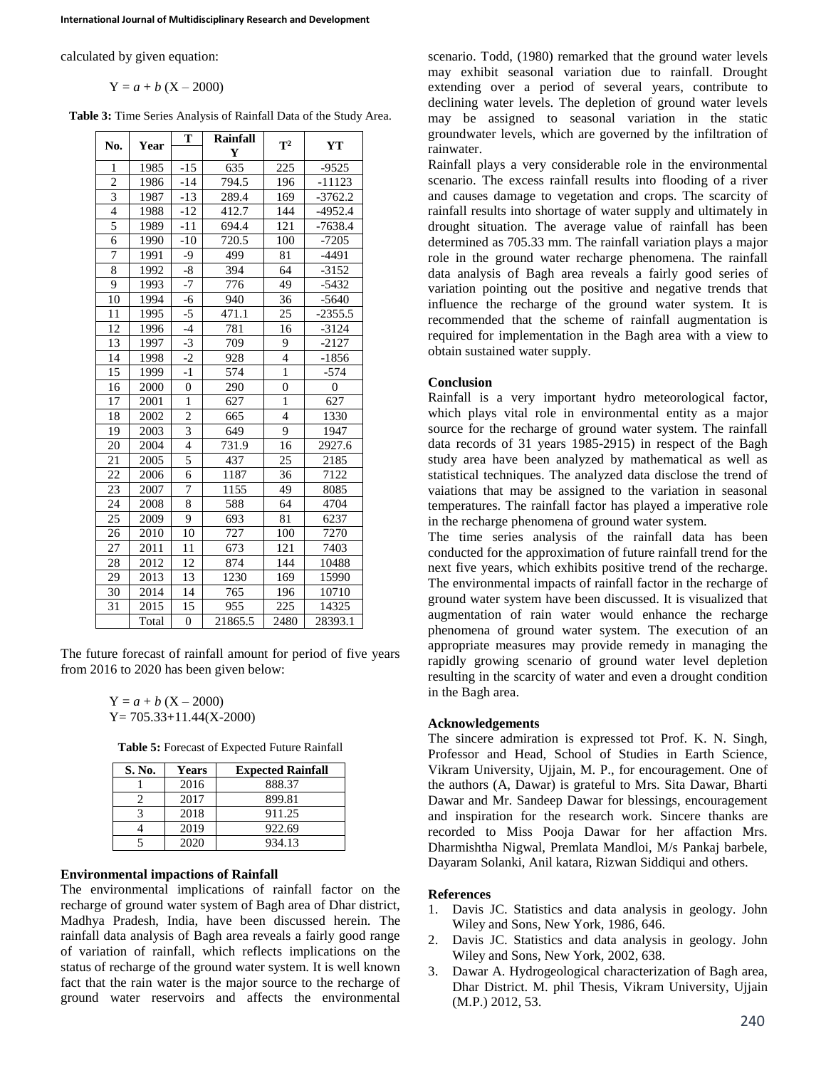calculated by given equation:

$$
Y = a + b (X - 2000)
$$

**Table 3:** Time Series Analysis of Rainfall Data of the Study Area.

| No.            | Year  | T              | Rainfall | $\mathbf{T}^2$ | <b>YT</b>      |  |
|----------------|-------|----------------|----------|----------------|----------------|--|
|                |       |                | Y        |                |                |  |
| 1              | 1985  | $-15$          | 635      | 225            | $-9525$        |  |
| $\overline{2}$ | 1986  | $-14$          | 794.5    | 196            | $-11123$       |  |
| $\overline{3}$ | 1987  | $-13$          | 289.4    | 169            | $-3762.2$      |  |
| $\overline{4}$ | 1988  | $-12$          | 412.7    | 144            | $-4952.4$      |  |
| 5              | 1989  | $-11$          | 694.4    | 121            | $-7638.4$      |  |
| 6              | 1990  | $-10$          | 720.5    | 100            | $-7205$        |  |
| 7              | 1991  | -9             | 499      | 81             | $-4491$        |  |
| 8              | 1992  | $-8$           | 394      | 64             | $-3152$        |  |
| 9              | 1993  | -7             | 776      | 49             | $-5432$        |  |
| 10             | 1994  | $-6$           | 940      | 36             | $-5640$        |  |
| 11             | 1995  | $-5$           | 471.1    | 25             | $-2355.5$      |  |
| 12             | 1996  | $-4$           | 781      | 16             | $-3124$        |  |
| 13             | 1997  | $-3$           | 709      | 9              | $-2127$        |  |
| 14             | 1998  | $-2$           | 928      | $\overline{4}$ | $-1856$        |  |
| 15             | 1999  | $-1$           | 574      | $\overline{1}$ | $-574$         |  |
| 16             | 2000  | $\overline{0}$ | 290      | $\overline{0}$ | $\overline{0}$ |  |
| 17             | 2001  | $\mathbf{1}$   | 627      | $\mathbf{1}$   | 627            |  |
| 18             | 2002  | $\overline{2}$ | 665      | $\overline{4}$ | 1330           |  |
| 19             | 2003  | 3              | 649      | 9              | 1947           |  |
| 20             | 2004  | $\overline{4}$ | 731.9    | 16             | 2927.6         |  |
| 21             | 2005  | 5              | 437      | 25             | 2185           |  |
| 22             | 2006  | 6              | 1187     | 36             | 7122           |  |
| 23             | 2007  | 7              | 1155     | 49             | 8085           |  |
| 24             | 2008  | 8              | 588      | 64             | 4704           |  |
| 25             | 2009  | 9              | 693      | 81             | 6237           |  |
| 26             | 2010  | 10             | 727      | 100            | 7270           |  |
| 27             | 2011  | 11             | 673      | 121            | 7403           |  |
| 28             | 2012  | 12             | 874      | 144            | 10488          |  |
| 29             | 2013  | 13             | 1230     | 169            | 15990          |  |
| 30             | 2014  | 14             | 765      | 196            | 10710          |  |
| 31             | 2015  | 15             | 955      | 225            | 14325          |  |
|                | Total | $\overline{0}$ | 21865.5  | 2480           | 28393.1        |  |

The future forecast of rainfall amount for period of five years from 2016 to 2020 has been given below:

> $Y = a + b (X - 2000)$ Y= 705.33+11.44(X-2000)

**Table 5:** Forecast of Expected Future Rainfall

| S. No. | Years | <b>Expected Rainfall</b> |
|--------|-------|--------------------------|
|        | 2016  | 888.37                   |
|        | 2017  | 899.81                   |
|        | 2018  | 911.25                   |
|        | 2019  | 922.69                   |
|        | 2020  | 934.13                   |

#### **Environmental impactions of Rainfall**

The environmental implications of rainfall factor on the recharge of ground water system of Bagh area of Dhar district, Madhya Pradesh, India, have been discussed herein. The rainfall data analysis of Bagh area reveals a fairly good range of variation of rainfall, which reflects implications on the status of recharge of the ground water system. It is well known fact that the rain water is the major source to the recharge of ground water reservoirs and affects the environmental

scenario. Todd, (1980) remarked that the ground water levels may exhibit seasonal variation due to rainfall. Drought extending over a period of several years, contribute to declining water levels. The depletion of ground water levels may be assigned to seasonal variation in the static groundwater levels, which are governed by the infiltration of rainwater.

Rainfall plays a very considerable role in the environmental scenario. The excess rainfall results into flooding of a river and causes damage to vegetation and crops. The scarcity of rainfall results into shortage of water supply and ultimately in drought situation. The average value of rainfall has been determined as 705.33 mm. The rainfall variation plays a major role in the ground water recharge phenomena. The rainfall data analysis of Bagh area reveals a fairly good series of variation pointing out the positive and negative trends that influence the recharge of the ground water system. It is recommended that the scheme of rainfall augmentation is required for implementation in the Bagh area with a view to obtain sustained water supply.

### **Conclusion**

Rainfall is a very important hydro meteorological factor, which plays vital role in environmental entity as a major source for the recharge of ground water system. The rainfall data records of 31 years 1985-2915) in respect of the Bagh study area have been analyzed by mathematical as well as statistical techniques. The analyzed data disclose the trend of vaiations that may be assigned to the variation in seasonal temperatures. The rainfall factor has played a imperative role in the recharge phenomena of ground water system.

The time series analysis of the rainfall data has been conducted for the approximation of future rainfall trend for the next five years, which exhibits positive trend of the recharge. The environmental impacts of rainfall factor in the recharge of ground water system have been discussed. It is visualized that augmentation of rain water would enhance the recharge phenomena of ground water system. The execution of an appropriate measures may provide remedy in managing the rapidly growing scenario of ground water level depletion resulting in the scarcity of water and even a drought condition in the Bagh area.

### **Acknowledgements**

The sincere admiration is expressed tot Prof. K. N. Singh, Professor and Head, School of Studies in Earth Science, Vikram University, Ujjain, M. P., for encouragement. One of the authors (A, Dawar) is grateful to Mrs. Sita Dawar, Bharti Dawar and Mr. Sandeep Dawar for blessings, encouragement and inspiration for the research work. Sincere thanks are recorded to Miss Pooja Dawar for her affaction Mrs. Dharmishtha Nigwal, Premlata Mandloi, M/s Pankaj barbele, Dayaram Solanki, Anil katara, Rizwan Siddiqui and others.

### **References**

- 1. Davis JC. Statistics and data analysis in geology. John Wiley and Sons, New York, 1986, 646.
- 2. Davis JC. Statistics and data analysis in geology. John Wiley and Sons, New York, 2002, 638.
- 3. Dawar A. Hydrogeological characterization of Bagh area, Dhar District. M. phil Thesis, Vikram University, Ujjain (M.P.) 2012, 53.